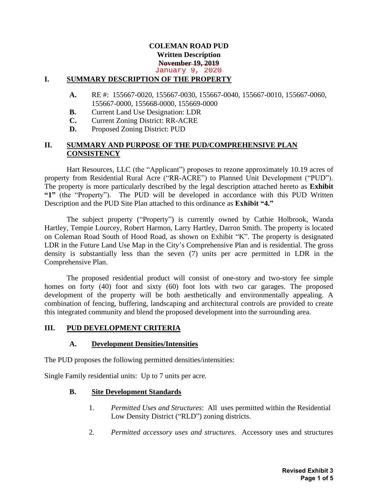#### **COLEMAN ROAD PUD Written Description November 19, 2019** January 9, 2020

#### **I. SUMMARY DESCRIPTION OF THE PROPERTY**

- **A.** RE #: 155667-0020, 155667-0030, 155667-0040, 155667-0010, 155667-0060, 155667-0000, 155668-0000, 155669-0000
- **B.** Current Land Use Designation: LDR
- **C.** Current Zoning District: RR-ACRE
- **D.** Proposed Zoning District: PUD

### **II. SUMMARY AND PURPOSE OF THE PUD/COMPREHENSIVE PLAN CONSISTENCY**

Hart Resources, LLC (the "Applicant") proposes to rezone approximately 10.19 acres of property from Residential Rural Acre ("RR-ACRE") to Planned Unit Development ("PUD"). The property is more particularly described by the legal description attached hereto as **Exhibit "1"** (the "Property"). The PUD will be developed in accordance with this PUD Written Description and the PUD Site Plan attached to this ordinance as **Exhibit "4."**

The subject property ("Property") is currently owned by Cathie Holbrook, Wanda Hartley, Tempie Lourcey, Robert Harmon, Larry Hartley, Darron Smith. The property is located on Coleman Road South of Hood Road, as shown on Exhibit "K". The property is designated LDR in the Future Land Use Map in the City's Comprehensive Plan and is residential. The gross density is substantially less than the seven (7) units per acre permitted in LDR in the Comprehensive Plan.

The proposed residential product will consist of one-story and two-story fee simple homes on forty (40) foot and sixty (60) foot lots with two car garages. The proposed development of the property will be both aesthetically and environmentally appealing. A combination of fencing, buffering, landscaping and architectural controls are provided to create this integrated community and blend the proposed development into the surrounding area.

#### **III. PUD DEVELOPMENT CRITERIA**

#### **A. Development Densities/Intensities**

The PUD proposes the following permitted densities/intensities:

Single Family residential units: Up to 7 units per acre.

#### **B. Site Development Standards**

- 1. *Permitted Uses and Structures*: All uses permitted within the Residential Low Density District ("RLD") zoning districts.
- 2. *Permitted accessory uses and structures*. Accessory uses and structures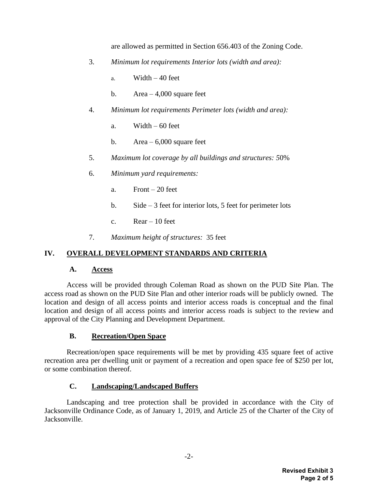are allowed as permitted in Section 656.403 of the Zoning Code.

- 3. *Minimum lot requirements Interior lots (width and area):*
	- a. Width  $-40$  feet
	- b. Area  $-4,000$  square feet
- 4. *Minimum lot requirements Perimeter lots (width and area):*
	- a. Width  $-60$  feet
	- b. Area  $-6,000$  square feet
- 5. *Maximum lot coverage by all buildings and structures: 5*0%
- 6. *Minimum yard requirements:*
	- a. Front  $-20$  feet
	- b. Side 3 feet for interior lots, 5 feet for perimeter lots
	- c.  $Rear 10$  feet
- 7. *Maximum height of structures:* 35 feet

### **IV. OVERALL DEVELOPMENT STANDARDS AND CRITERIA**

#### **A. Access**

Access will be provided through Coleman Road as shown on the PUD Site Plan. The access road as shown on the PUD Site Plan and other interior roads will be publicly owned. The location and design of all access points and interior access roads is conceptual and the final location and design of all access points and interior access roads is subject to the review and approval of the City Planning and Development Department.

### **B. Recreation/Open Space**

Recreation/open space requirements will be met by providing 435 square feet of active recreation area per dwelling unit or payment of a recreation and open space fee of \$250 per lot, or some combination thereof.

### **C. Landscaping/Landscaped Buffers**

Landscaping and tree protection shall be provided in accordance with the City of Jacksonville Ordinance Code, as of January 1, 2019, and Article 25 of the Charter of the City of Jacksonville.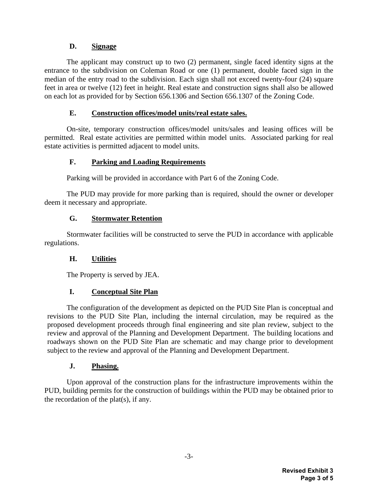## **D. Signage**

The applicant may construct up to two (2) permanent, single faced identity signs at the entrance to the subdivision on Coleman Road or one (1) permanent, double faced sign in the median of the entry road to the subdivision. Each sign shall not exceed twenty-four (24) square feet in area or twelve (12) feet in height. Real estate and construction signs shall also be allowed on each lot as provided for by Section 656.1306 and Section 656.1307 of the Zoning Code.

### **E. Construction offices/model units/real estate sales.**

On-site, temporary construction offices/model units/sales and leasing offices will be permitted. Real estate activities are permitted within model units. Associated parking for real estate activities is permitted adjacent to model units.

## **F. Parking and Loading Requirements**

Parking will be provided in accordance with Part 6 of the Zoning Code.

The PUD may provide for more parking than is required, should the owner or developer deem it necessary and appropriate.

## **G. Stormwater Retention**

Stormwater facilities will be constructed to serve the PUD in accordance with applicable regulations.

# **H. Utilities**

The Property is served by JEA.

# **I. Conceptual Site Plan**

The configuration of the development as depicted on the PUD Site Plan is conceptual and revisions to the PUD Site Plan, including the internal circulation, may be required as the proposed development proceeds through final engineering and site plan review, subject to the review and approval of the Planning and Development Department. The building locations and roadways shown on the PUD Site Plan are schematic and may change prior to development subject to the review and approval of the Planning and Development Department.

### **J. Phasing.**

Upon approval of the construction plans for the infrastructure improvements within the PUD, building permits for the construction of buildings within the PUD may be obtained prior to the recordation of the plat(s), if any.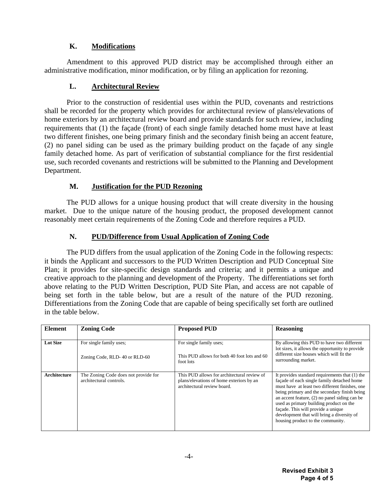# **K. Modifications**

Amendment to this approved PUD district may be accomplished through either an administrative modification, minor modification, or by filing an application for rezoning.

## **L. Architectural Review**

Prior to the construction of residential uses within the PUD, covenants and restrictions shall be recorded for the property which provides for architectural review of plans/elevations of home exteriors by an architectural review board and provide standards for such review, including requirements that (1) the façade (front) of each single family detached home must have at least two different finishes, one being primary finish and the secondary finish being an accent feature, (2) no panel siding can be used as the primary building product on the façade of any single family detached home. As part of verification of substantial compliance for the first residential use, such recorded covenants and restrictions will be submitted to the Planning and Development Department.

## **M. Justification for the PUD Rezoning**

The PUD allows for a unique housing product that will create diversity in the housing market. Due to the unique nature of the housing product, the proposed development cannot reasonably meet certain requirements of the Zoning Code and therefore requires a PUD.

# **N. PUD/Difference from Usual Application of Zoning Code**

The PUD differs from the usual application of the Zoning Code in the following respects: it binds the Applicant and successors to the PUD Written Description and PUD Conceptual Site Plan; it provides for site-specific design standards and criteria; and it permits a unique and creative approach to the planning and development of the Property. The differentiations set forth above relating to the PUD Written Description, PUD Site Plan, and access are not capable of being set forth in the table below, but are a result of the nature of the PUD rezoning. Differentiations from the Zoning Code that are capable of being specifically set forth are outlined in the table below.

| <b>Element</b>  | <b>Zoning Code</b>                                              | <b>Proposed PUD</b>                                                                                                    | <b>Reasoning</b>                                                                                                                                                                                                                                                                                                                                                                                                        |
|-----------------|-----------------------------------------------------------------|------------------------------------------------------------------------------------------------------------------------|-------------------------------------------------------------------------------------------------------------------------------------------------------------------------------------------------------------------------------------------------------------------------------------------------------------------------------------------------------------------------------------------------------------------------|
| <b>Lot Size</b> | For single family uses;<br>Zoning Code, RLD-40 or RLD-60        | For single family uses:<br>This PUD allows for both 40 foot lots and 60<br>foot lots                                   | By allowing this PUD to have two different<br>lot sizes, it allows the opportunity to provide<br>different size houses which will fit the<br>surrounding market.                                                                                                                                                                                                                                                        |
| Architecture    | The Zoning Code does not provide for<br>architectural controls. | This PUD allows for architectural review of<br>plans/elevations of home exteriors by an<br>architectural review board. | It provides standard requirements that $(1)$ the<br>façade of each single family detached home<br>must have at least two different finishes, one<br>being primary and the secondary finish being<br>an accent feature, $(2)$ no panel siding can be<br>used as primary building product on the<br>façade. This will provide a unique<br>development that will bring a diversity of<br>housing product to the community. |